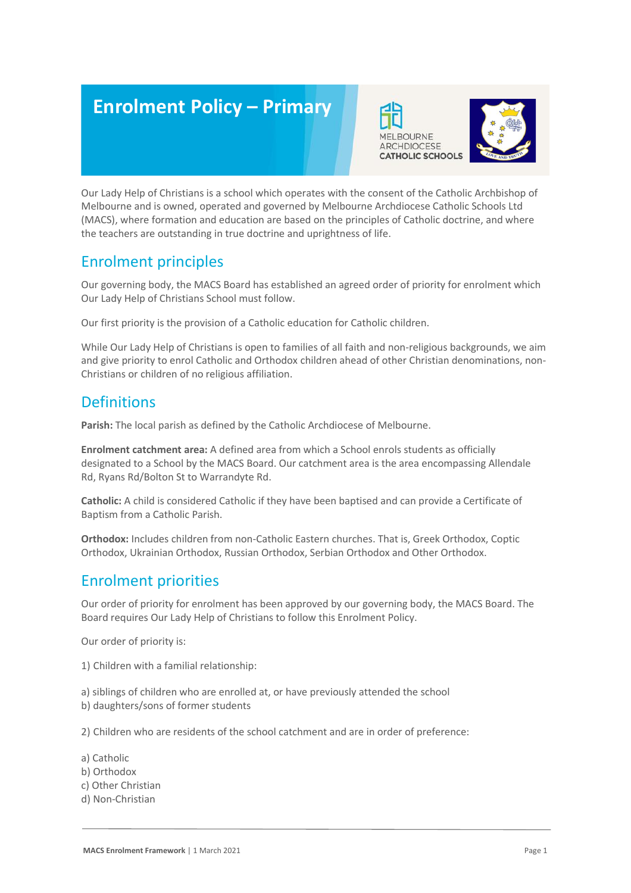# **Enrolment Policy – Primary**





## Enrolment principles

Our governing body, the MACS Board has established an agreed order of priority for enrolment which Our Lady Help of Christians School must follow.

Our first priority is the provision of a Catholic education for Catholic children.

While Our Lady Help of Christians is open to families of all faith and non-religious backgrounds, we aim and give priority to enrol Catholic and Orthodox children ahead of other Christian denominations, non-Christians or children of no religious affiliation.

#### **Definitions**

All

**Parish:** The local parish as defined by the Catholic Archdiocese of Melbourne.

**Enrolment catchment area:** A defined area from which a School enrols students as officially designated to a School by the MACS Board. Our catchment area is the area encompassing Allendale Rd, Ryans Rd/Bolton St to Warrandyte Rd.

**Catholic:** A child is considered Catholic if they have been baptised and can provide a Certificate of Baptism from a Catholic Parish.

**Orthodox:** Includes children from non-Catholic Eastern churches. That is, Greek Orthodox, Coptic Orthodox, Ukrainian Orthodox, Russian Orthodox, Serbian Orthodox and Other Orthodox.

## Enrolment priorities

Our order of priority for enrolment has been approved by our governing body, the MACS Board. The Board requires Our Lady Help of Christians to follow this Enrolment Policy.

Our order of priority is:

1) Children with a familial relationship:

a) siblings of children who are enrolled at, or have previously attended the school b) daughters/sons of former students

2) Children who are residents of the school catchment and are in order of preference:

- a) Catholic
- b) Orthodox
- c) Other Christian
- d) Non-Christian